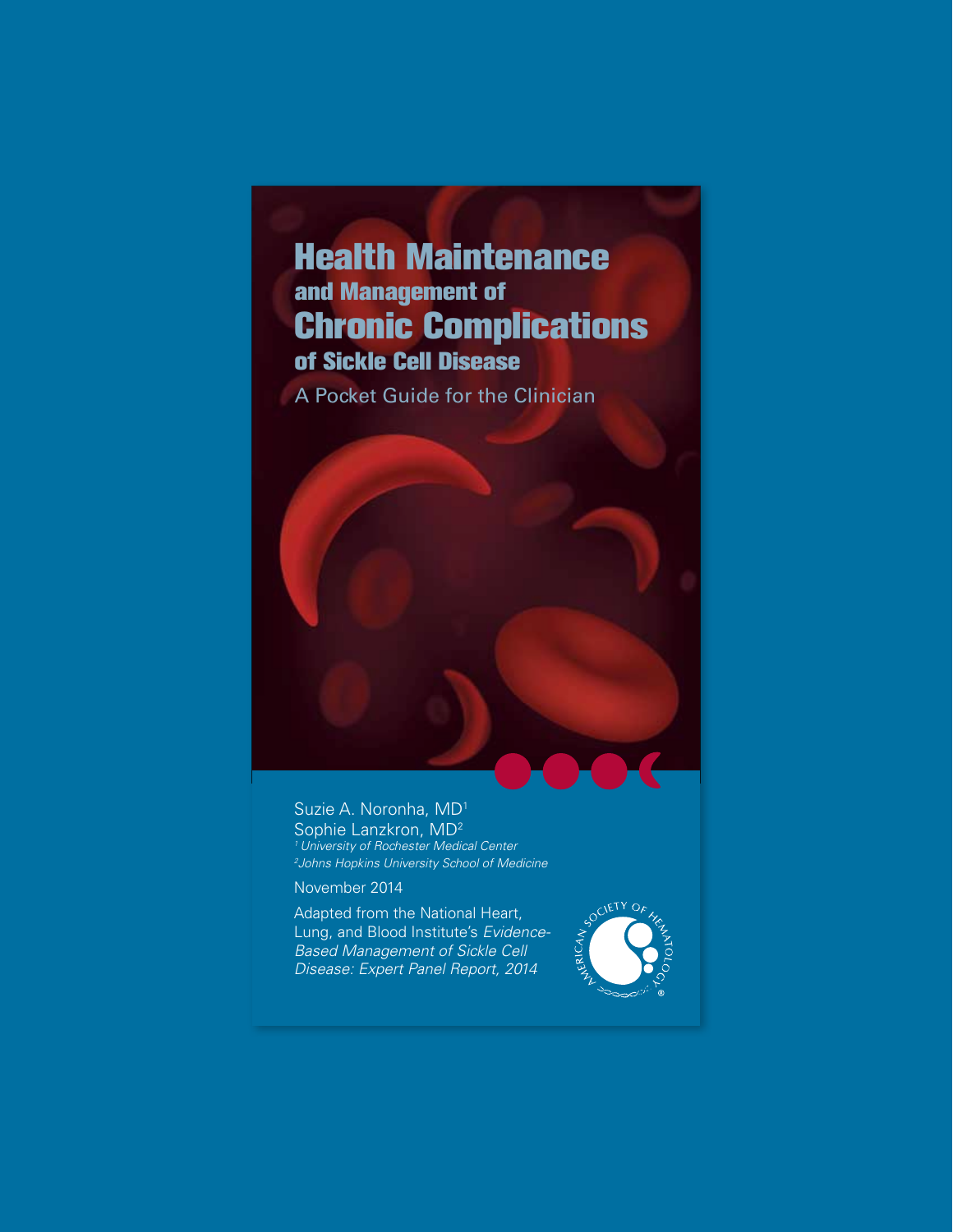# Health Maintenance and Management of Chronic Complications of Sickle Cell Disease

A Pocket Guide for the Clinician

Suzie A. Noronha, MD1 Sophie Lanzkron, MD<sup>2</sup> *1 University of Rochester Medical Center 2 Johns Hopkins University School of Medicine*

November 2014

Adapted from the National Heart, Lung, and Blood Institute's *Evidence-Based Management of Sickle Cell Disease: Expert Panel Report, 2014*

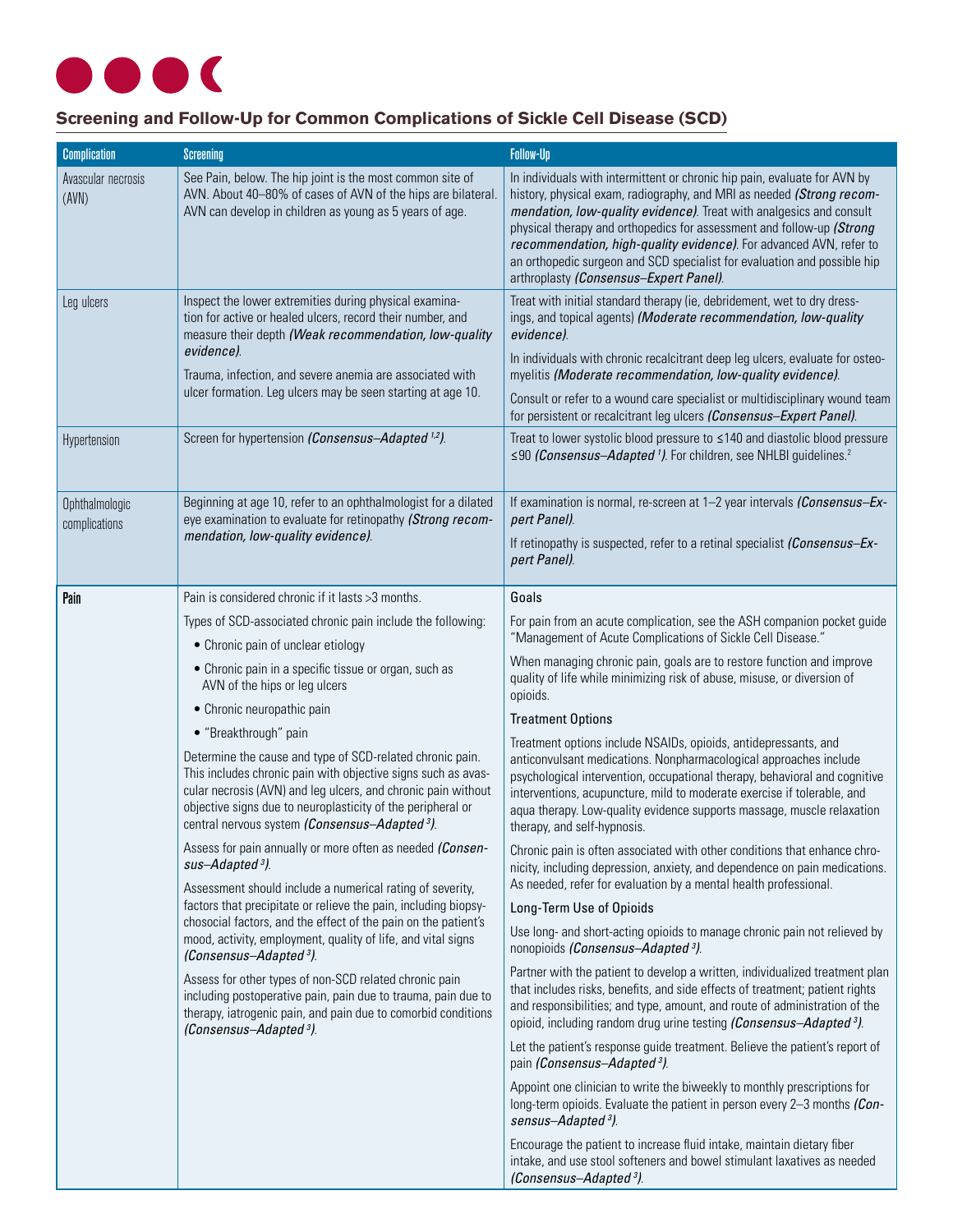# $\blacklozenge$ **START**

# **Screening and Follow-Up for Common Complications of Sickle Cell Disease (SCD)**

| <b>Complication</b>             | <b>Screening</b>                                                                                                                                                                                                                                                                                                                                                                                                                                                                                                                                                                                                                   | <b>Follow-Up</b>                                                                                                                                                                                                                                                                                                                                                                                                                                                                               |  |
|---------------------------------|------------------------------------------------------------------------------------------------------------------------------------------------------------------------------------------------------------------------------------------------------------------------------------------------------------------------------------------------------------------------------------------------------------------------------------------------------------------------------------------------------------------------------------------------------------------------------------------------------------------------------------|------------------------------------------------------------------------------------------------------------------------------------------------------------------------------------------------------------------------------------------------------------------------------------------------------------------------------------------------------------------------------------------------------------------------------------------------------------------------------------------------|--|
| Avascular necrosis<br>(AVN)     | See Pain, below. The hip joint is the most common site of<br>AVN. About 40-80% of cases of AVN of the hips are bilateral.<br>AVN can develop in children as young as 5 years of age.                                                                                                                                                                                                                                                                                                                                                                                                                                               | In individuals with intermittent or chronic hip pain, evaluate for AVN by<br>history, physical exam, radiography, and MRI as needed (Strong recom-<br>mendation, low-quality evidence). Treat with analgesics and consult<br>physical therapy and orthopedics for assessment and follow-up (Strong<br>recommendation, high-quality evidence). For advanced AVN, refer to<br>an orthopedic surgeon and SCD specialist for evaluation and possible hip<br>arthroplasty (Consensus-Expert Panel). |  |
| Leg ulcers                      | Inspect the lower extremities during physical examina-<br>tion for active or healed ulcers, record their number, and<br>measure their depth (Weak recommendation, low-quality<br>evidence).<br>Trauma, infection, and severe anemia are associated with<br>ulcer formation. Leg ulcers may be seen starting at age 10.                                                                                                                                                                                                                                                                                                             | Treat with initial standard therapy (ie, debridement, wet to dry dress-<br>ings, and topical agents) (Moderate recommendation, low-quality<br>evidence).<br>In individuals with chronic recalcitrant deep leg ulcers, evaluate for osteo-<br>myelitis (Moderate recommendation, low-quality evidence).<br>Consult or refer to a wound care specialist or multidisciplinary wound team                                                                                                          |  |
| Hypertension                    | Screen for hypertension (Consensus-Adapted <sup>1,2</sup> ).                                                                                                                                                                                                                                                                                                                                                                                                                                                                                                                                                                       | for persistent or recalcitrant leg ulcers (Consensus-Expert Panel).<br>Treat to lower systolic blood pressure to ≤140 and diastolic blood pressure<br>≤90 (Consensus-Adapted 1). For children, see NHLBI guidelines. <sup>2</sup>                                                                                                                                                                                                                                                              |  |
| Ophthalmologic<br>complications | Beginning at age 10, refer to an ophthalmologist for a dilated<br>eye examination to evaluate for retinopathy (Strong recom-<br>mendation, low-quality evidence).                                                                                                                                                                                                                                                                                                                                                                                                                                                                  | If examination is normal, re-screen at 1-2 year intervals (Consensus-Ex-<br>pert Panel).<br>If retinopathy is suspected, refer to a retinal specialist (Consensus-Ex-<br>pert Panel).                                                                                                                                                                                                                                                                                                          |  |
| Pain                            | Pain is considered chronic if it lasts >3 months.                                                                                                                                                                                                                                                                                                                                                                                                                                                                                                                                                                                  | Goals                                                                                                                                                                                                                                                                                                                                                                                                                                                                                          |  |
|                                 | Types of SCD-associated chronic pain include the following:                                                                                                                                                                                                                                                                                                                                                                                                                                                                                                                                                                        | For pain from an acute complication, see the ASH companion pocket guide                                                                                                                                                                                                                                                                                                                                                                                                                        |  |
|                                 | • Chronic pain of unclear etiology                                                                                                                                                                                                                                                                                                                                                                                                                                                                                                                                                                                                 | "Management of Acute Complications of Sickle Cell Disease."                                                                                                                                                                                                                                                                                                                                                                                                                                    |  |
|                                 | • Chronic pain in a specific tissue or organ, such as<br>AVN of the hips or leg ulcers                                                                                                                                                                                                                                                                                                                                                                                                                                                                                                                                             | When managing chronic pain, goals are to restore function and improve<br>quality of life while minimizing risk of abuse, misuse, or diversion of<br>opioids.                                                                                                                                                                                                                                                                                                                                   |  |
|                                 | • Chronic neuropathic pain                                                                                                                                                                                                                                                                                                                                                                                                                                                                                                                                                                                                         | <b>Treatment Options</b><br>Treatment options include NSAIDs, opioids, antidepressants, and<br>anticonvulsant medications. Nonpharmacological approaches include<br>psychological intervention, occupational therapy, behavioral and cognitive<br>interventions, acupuncture, mild to moderate exercise if tolerable, and<br>aqua therapy. Low-quality evidence supports massage, muscle relaxation<br>therapy, and self-hypnosis.                                                             |  |
|                                 | • "Breakthrough" pain<br>Determine the cause and type of SCD-related chronic pain.<br>This includes chronic pain with objective signs such as avas-<br>cular necrosis (AVN) and leg ulcers, and chronic pain without<br>objective signs due to neuroplasticity of the peripheral or<br>central nervous system (Consensus-Adapted <sup>3</sup> ).                                                                                                                                                                                                                                                                                   |                                                                                                                                                                                                                                                                                                                                                                                                                                                                                                |  |
|                                 | Assess for pain annually or more often as needed (Consen-<br>sus-Adapted <sup>3</sup> ).<br>Assessment should include a numerical rating of severity,<br>factors that precipitate or relieve the pain, including biopsy-<br>chosocial factors, and the effect of the pain on the patient's<br>mood, activity, employment, quality of life, and vital signs<br>(Consensus-Adapted <sup>3</sup> ).<br>Assess for other types of non-SCD related chronic pain<br>including postoperative pain, pain due to trauma, pain due to<br>therapy, iatrogenic pain, and pain due to comorbid conditions<br>(Consensus-Adapted <sup>3</sup> ). | Chronic pain is often associated with other conditions that enhance chro-<br>nicity, including depression, anxiety, and dependence on pain medications.<br>As needed, refer for evaluation by a mental health professional.                                                                                                                                                                                                                                                                    |  |
|                                 |                                                                                                                                                                                                                                                                                                                                                                                                                                                                                                                                                                                                                                    | Long-Term Use of Opioids                                                                                                                                                                                                                                                                                                                                                                                                                                                                       |  |
|                                 |                                                                                                                                                                                                                                                                                                                                                                                                                                                                                                                                                                                                                                    | Use long- and short-acting opioids to manage chronic pain not relieved by<br>nonopioids (Consensus–Adapted <sup>3</sup> ).                                                                                                                                                                                                                                                                                                                                                                     |  |
|                                 |                                                                                                                                                                                                                                                                                                                                                                                                                                                                                                                                                                                                                                    | Partner with the patient to develop a written, individualized treatment plan<br>that includes risks, benefits, and side effects of treatment; patient rights<br>and responsibilities; and type, amount, and route of administration of the<br>opioid, including random drug urine testing (Consensus-Adapted <sup>3</sup> ).                                                                                                                                                                   |  |
|                                 |                                                                                                                                                                                                                                                                                                                                                                                                                                                                                                                                                                                                                                    | Let the patient's response guide treatment. Believe the patient's report of<br>pain (Consensus-Adapted <sup>3</sup> ).                                                                                                                                                                                                                                                                                                                                                                         |  |
|                                 |                                                                                                                                                                                                                                                                                                                                                                                                                                                                                                                                                                                                                                    | Appoint one clinician to write the biweekly to monthly prescriptions for<br>long-term opioids. Evaluate the patient in person every 2-3 months (Con-<br>sensus-Adapted <sup>3</sup> ).                                                                                                                                                                                                                                                                                                         |  |
|                                 |                                                                                                                                                                                                                                                                                                                                                                                                                                                                                                                                                                                                                                    | Encourage the patient to increase fluid intake, maintain dietary fiber<br>intake, and use stool softeners and bowel stimulant laxatives as needed<br>(Consensus-Adapted <sup>3</sup> ).                                                                                                                                                                                                                                                                                                        |  |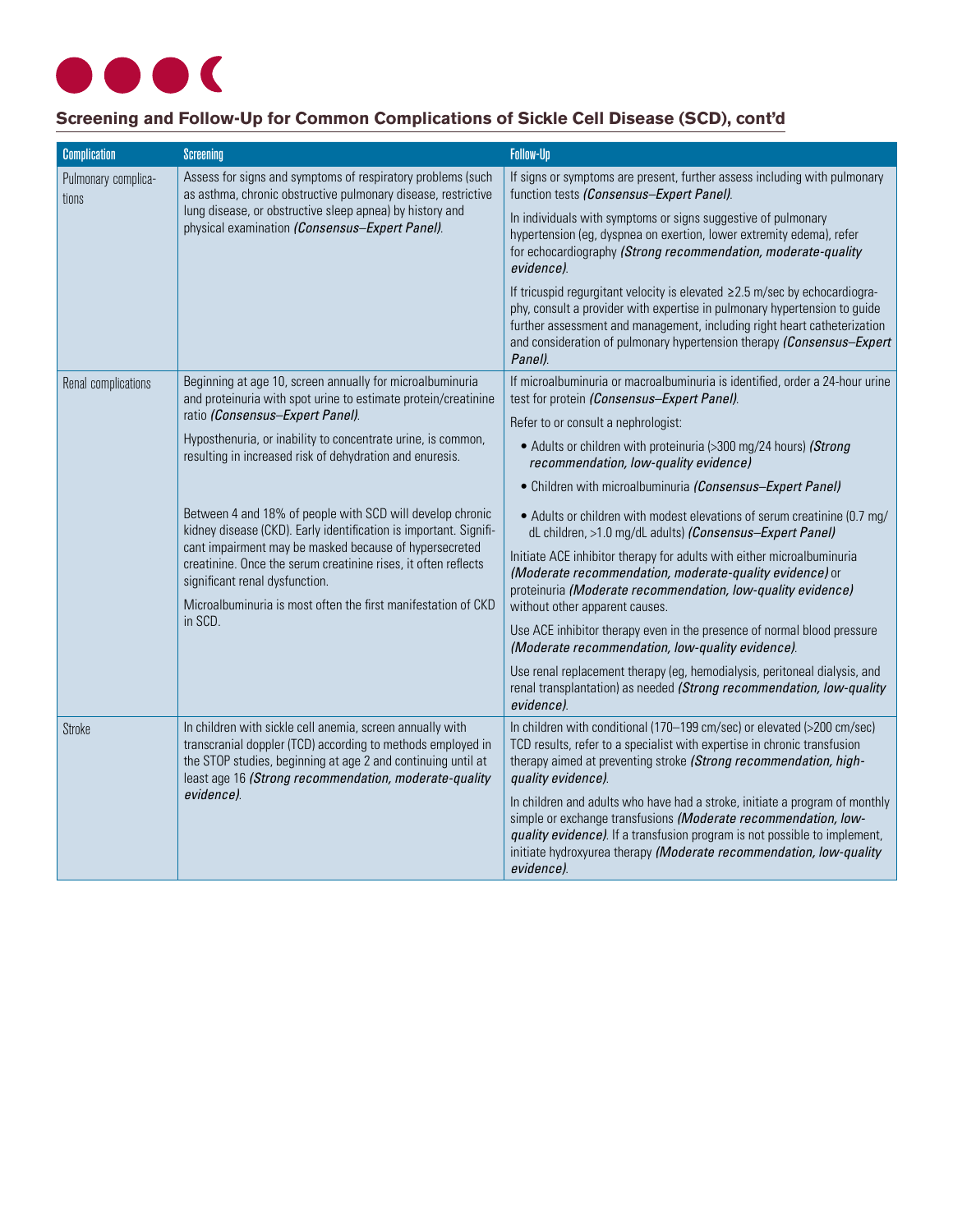

# **Screening and Follow-Up for Common Complications of Sickle Cell Disease (SCD), cont'd**

| <b>Complication</b>          | <b>Screening</b>                                                                                                                                                                                                                                                                                                                                                         | Follow-Up                                                                                                                                                                                                                                                                                                               |  |
|------------------------------|--------------------------------------------------------------------------------------------------------------------------------------------------------------------------------------------------------------------------------------------------------------------------------------------------------------------------------------------------------------------------|-------------------------------------------------------------------------------------------------------------------------------------------------------------------------------------------------------------------------------------------------------------------------------------------------------------------------|--|
| Pulmonary complica-<br>tions | Assess for signs and symptoms of respiratory problems (such<br>as asthma, chronic obstructive pulmonary disease, restrictive<br>lung disease, or obstructive sleep apnea) by history and<br>physical examination (Consensus-Expert Panel).                                                                                                                               | If signs or symptoms are present, further assess including with pulmonary<br>function tests (Consensus-Expert Panel).                                                                                                                                                                                                   |  |
|                              |                                                                                                                                                                                                                                                                                                                                                                          | In individuals with symptoms or signs suggestive of pulmonary<br>hypertension (eg, dyspnea on exertion, lower extremity edema), refer<br>for echocardiography (Strong recommendation, moderate-quality<br>evidence).                                                                                                    |  |
|                              |                                                                                                                                                                                                                                                                                                                                                                          | If tricuspid regurgitant velocity is elevated ≥2.5 m/sec by echocardiogra-<br>phy, consult a provider with expertise in pulmonary hypertension to guide<br>further assessment and management, including right heart catheterization<br>and consideration of pulmonary hypertension therapy (Consensus-Expert<br>Panel). |  |
| Renal complications          | Beginning at age 10, screen annually for microalbuminuria<br>and proteinuria with spot urine to estimate protein/creatinine<br>ratio (Consensus-Expert Panel).<br>Hyposthenuria, or inability to concentrate urine, is common,<br>resulting in increased risk of dehydration and enuresis.                                                                               | If microalbuminuria or macroalbuminuria is identified, order a 24-hour urine<br>test for protein (Consensus-Expert Panel).                                                                                                                                                                                              |  |
|                              |                                                                                                                                                                                                                                                                                                                                                                          | Refer to or consult a nephrologist:                                                                                                                                                                                                                                                                                     |  |
|                              |                                                                                                                                                                                                                                                                                                                                                                          | • Adults or children with proteinuria (>300 mg/24 hours) (Strong<br>recommendation, low-quality evidence)                                                                                                                                                                                                               |  |
|                              |                                                                                                                                                                                                                                                                                                                                                                          | • Children with microalbuminuria (Consensus-Expert Panel)                                                                                                                                                                                                                                                               |  |
|                              | Between 4 and 18% of people with SCD will develop chronic<br>kidney disease (CKD). Early identification is important. Signifi-<br>cant impairment may be masked because of hypersecreted<br>creatinine. Once the serum creatinine rises, it often reflects<br>significant renal dysfunction.<br>Microalbuminuria is most often the first manifestation of CKD<br>in SCD. | • Adults or children with modest elevations of serum creatinine (0.7 mg/<br>dL children, >1.0 mg/dL adults) (Consensus-Expert Panel)                                                                                                                                                                                    |  |
|                              |                                                                                                                                                                                                                                                                                                                                                                          | Initiate ACE inhibitor therapy for adults with either microalbuminuria<br>(Moderate recommendation, moderate-quality evidence) or<br>proteinuria (Moderate recommendation, low-quality evidence)<br>without other apparent causes.                                                                                      |  |
|                              |                                                                                                                                                                                                                                                                                                                                                                          | Use ACE inhibitor therapy even in the presence of normal blood pressure<br>(Moderate recommendation, low-quality evidence).                                                                                                                                                                                             |  |
|                              |                                                                                                                                                                                                                                                                                                                                                                          | Use renal replacement therapy (eg, hemodialysis, peritoneal dialysis, and<br>renal transplantation) as needed (Strong recommendation, low-quality<br>evidence).                                                                                                                                                         |  |
| Stroke                       | In children with sickle cell anemia, screen annually with<br>transcranial doppler (TCD) according to methods employed in<br>the STOP studies, beginning at age 2 and continuing until at<br>least age 16 (Strong recommendation, moderate-quality<br>evidence).                                                                                                          | In children with conditional (170–199 cm/sec) or elevated (>200 cm/sec)<br>TCD results, refer to a specialist with expertise in chronic transfusion<br>therapy aimed at preventing stroke (Strong recommendation, high-<br>quality evidence).                                                                           |  |
|                              |                                                                                                                                                                                                                                                                                                                                                                          | In children and adults who have had a stroke, initiate a program of monthly<br>simple or exchange transfusions (Moderate recommendation, low-<br>quality evidence). If a transfusion program is not possible to implement,<br>initiate hydroxyurea therapy (Moderate recommendation, low-quality<br>evidence).          |  |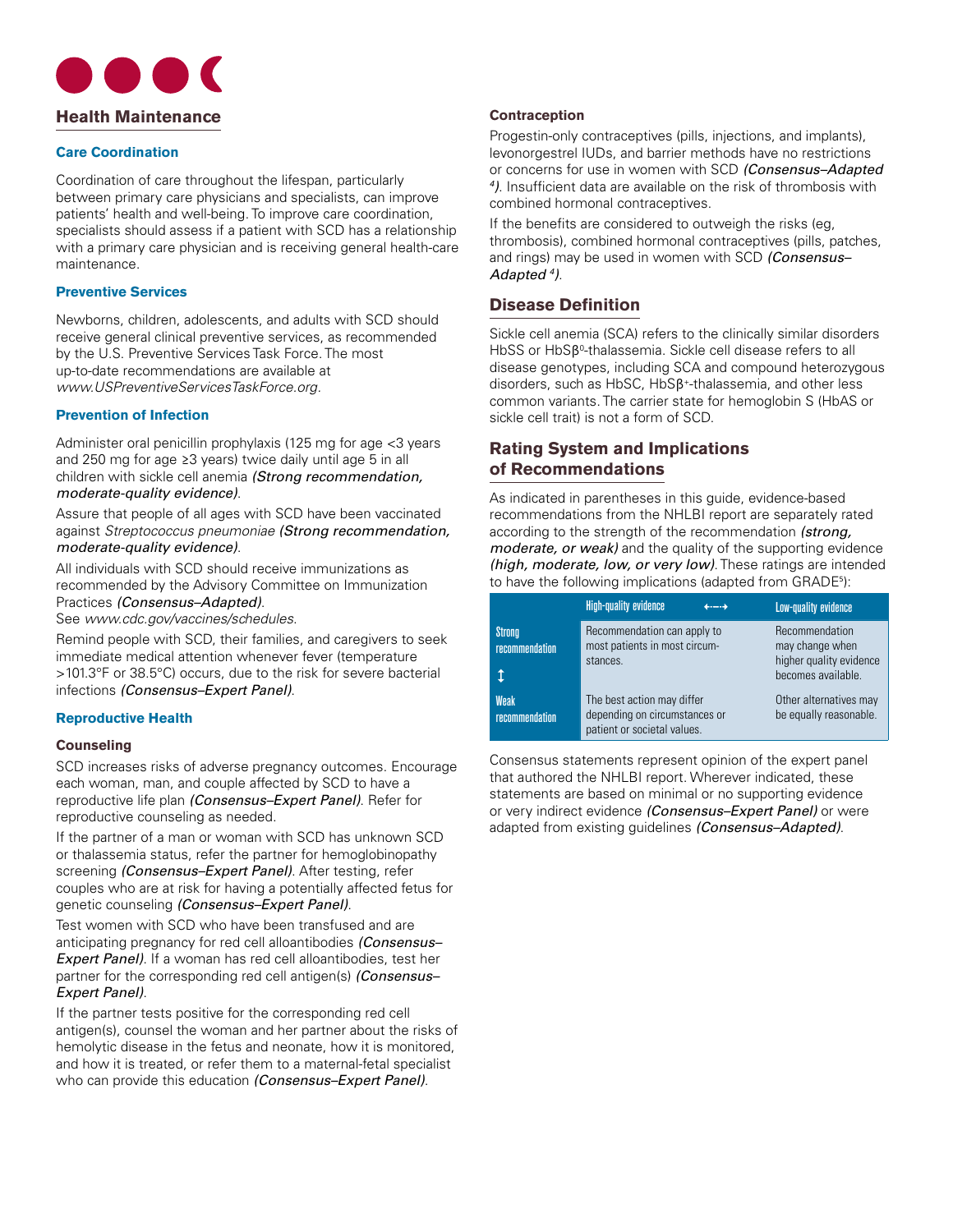

#### **Care Coordination**

Coordination of care throughout the lifespan, particularly between primary care physicians and specialists, can improve patients' health and well-being. To improve care coordination, specialists should assess if a patient with SCD has a relationship with a primary care physician and is receiving general health-care maintenance.

#### **Preventive Services**

Newborns, children, adolescents, and adults with SCD should receive general clinical preventive services, as recommended by the U.S. Preventive Services Task Force. The most up-to-date recommendations are available at *www.USPreventiveServicesTaskForce.org.*

#### **Prevention of Infection**

Administer oral penicillin prophylaxis (125 mg for age <3 years and 250 mg for age ≥3 years) twice daily until age 5 in all children with sickle cell anemia *(Strong recommendation, moderate-quality evidence)*.

Assure that people of all ages with SCD have been vaccinated against *Streptococcus pneumoniae (Strong recommendation, moderate-quality evidence)*.

All individuals with SCD should receive immunizations as recommended by the Advisory Committee on Immunization Practices *(Consensus–Adapted)*.

See *www.cdc.gov/vaccines/schedules*.

Remind people with SCD, their families, and caregivers to seek immediate medical attention whenever fever (temperature >101.3°F or 38.5°C) occurs, due to the risk for severe bacterial infections *(Consensus–Expert Panel)*.

#### **Reproductive Health**

#### **Counseling**

SCD increases risks of adverse pregnancy outcomes. Encourage each woman, man, and couple affected by SCD to have a reproductive life plan *(Consensus–Expert Panel)*. Refer for reproductive counseling as needed.

If the partner of a man or woman with SCD has unknown SCD or thalassemia status, refer the partner for hemoglobinopathy screening *(Consensus–Expert Panel)*. After testing, refer couples who are at risk for having a potentially affected fetus for genetic counseling *(Consensus–Expert Panel)*.

Test women with SCD who have been transfused and are anticipating pregnancy for red cell alloantibodies *(Consensus– Expert Panel)*. If a woman has red cell alloantibodies, test her partner for the corresponding red cell antigen(s) *(Consensus– Expert Panel)*.

If the partner tests positive for the corresponding red cell antigen(s), counsel the woman and her partner about the risks of hemolytic disease in the fetus and neonate, how it is monitored, and how it is treated, or refer them to a maternal-fetal specialist who can provide this education *(Consensus–Expert Panel)*.

#### **Contraception**

Progestin-only contraceptives (pills, injections, and implants), levonorgestrel IUDs, and barrier methods have no restrictions or concerns for use in women with SCD *(Consensus–Adapted 4 )*. Insufficient data are available on the risk of thrombosis with combined hormonal contraceptives.

If the benefits are considered to outweigh the risks (eg, thrombosis), combined hormonal contraceptives (pills, patches, and rings) may be used in women with SCD *(Consensus– Adapted 4 )*.

### **Disease Definition**

Sickle cell anemia (SCA) refers to the clinically similar disorders HbSS or HbSβ<sup>0</sup>-thalassemia. Sickle cell disease refers to all disease genotypes, including SCA and compound heterozygous disorders, such as HbSC, HbSβ+-thalassemia, and other less common variants. The carrier state for hemoglobin S (HbAS or sickle cell trait) is not a form of SCD.

## **Rating System and Implications of Recommendations**

As indicated in parentheses in this guide, evidence-based recommendations from the NHLBI report are separately rated according to the strength of the recommendation *(strong, moderate, or weak)* and the quality of the supporting evidence *(high, moderate, low, or very low)*. These ratings are intended to have the following implications (adapted from GRADE<sup>5</sup> ):

|                                 | <b>High-quality evidence</b>                                                               | $\leftarrow$ | Low-quality evidence                                                               |
|---------------------------------|--------------------------------------------------------------------------------------------|--------------|------------------------------------------------------------------------------------|
| <b>Strong</b><br>recommendation | Recommendation can apply to<br>most patients in most circum-<br>stances.                   |              | Recommendation<br>may change when<br>higher quality evidence<br>becomes available. |
| Weak<br><b>recommendation</b>   | The best action may differ<br>depending on circumstances or<br>patient or societal values. |              | Other alternatives may<br>be equally reasonable.                                   |

Consensus statements represent opinion of the expert panel that authored the NHLBI report. Wherever indicated, these statements are based on minimal or no supporting evidence or very indirect evidence *(Consensus–Expert Panel)* or were adapted from existing guidelines *(Consensus–Adapted)*.